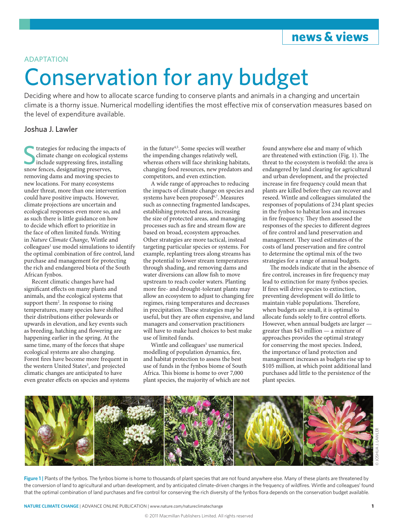## **news & views**

### ADAPTATION

# Conservation for any budget

Deciding where and how to allocate scarce funding to conserve plants and animals in a changing and uncertain climate is a thorny issue. Numerical modelling identifies the most effective mix of conservation measures based on the level of expenditure available.

### Joshua J. Lawler

Stategies for reducing the impartion of the supervention of include suppressing fires, install snow fences, designating preserves, trategies for reducing the impacts of climate change on ecological systems include suppressing fires, installing removing dams and moving species to new locations. For many ecosystems under threat, more than one intervention could have positive impacts. However, climate projections are uncertain and ecological responses even more so, and as such there is little guidance on how to decide which effort to prioritize in the face of often limited funds. Writing in *Nature Climate Change*, Wintle and colleagues<sup>1</sup> use model simulations to identify the optimal combination of fire control, land purchase and management for protecting the rich and endangered biota of the South African fynbos.

Recent climatic changes have had significant effects on many plants and animals, and the ecological systems that support them<sup>2</sup>. In response to rising temperatures, many species have shifted their distributions either polewards or upwards in elevation, and key events such as breeding, hatching and flowering are happening earlier in the spring. At the same time, many of the forces that shape ecological systems are also changing. Forest fires have become more frequent in the western United States<sup>3</sup>, and projected climatic changes are anticipated to have even greater effects on species and systems in the future<sup>4,5</sup>. Some species will weather the impending changes relatively well, whereas others will face shrinking habitats, changing food resources, new predators and competitors, and even extinction.

A wide range of approaches to reducing the impacts of climate change on species and systems have been proposed<sup>6,7</sup>. Measures such as connecting fragmented landscapes, establishing protected areas, increasing the size of protected areas, and managing processes such as fire and stream flow are based on broad, ecosystem approaches. Other strategies are more tactical, instead targeting particular species or systems. For example, replanting trees along streams has the potential to lower stream temperatures through shading, and removing dams and water diversions can allow fish to move upstream to reach cooler waters. Planting more fire- and drought-tolerant plants may allow an ecosystem to adjust to changing fire regimes, rising temperatures and decreases in precipitation. These strategies may be useful, but they are often expensive, and land managers and conservation practitioners will have to make hard choices to best make use of limited funds.

Wintle and colleagues<sup>1</sup> use numerical modelling of population dynamics, fire, and habitat protection to assess the best use of funds in the fynbos biome of South Africa. This biome is home to over 7,000 plant species, the majority of which are not

found anywhere else and many of which are threatened with extinction (Fig. 1). The threat to the ecosystem is twofold: the area is endangered by land clearing for agricultural and urban development, and the projected increase in fire frequency could mean that plants are killed before they can recover and reseed. Wintle and colleagues simulated the responses of populations of 234 plant species in the fynbos to habitat loss and increases in fire frequency. They then assessed the responses of the species to different degrees of fire control and land preservation and management. They used estimates of the costs of land preservation and fire control to determine the optimal mix of the two strategies for a range of annual budgets.

The models indicate that in the absence of fire control, increases in fire frequency may lead to extinction for many fynbos species. If fires will drive species to extinction, preventing development will do little to maintain viable populations. Therefore, when budgets are small, it is optimal to allocate funds solely to fire control efforts. However, when annual budgets are larger greater than \$43 million — a mixture of approaches provides the optimal strategy for conserving the most species. Indeed, the importance of land protection and management increases as budgets rise up to \$105 million, at which point additional land purchases add little to the persistence of the plant species.



**Figure 1 |** Plants of the fynbos. The fynbos biome is home to thousands of plant species that are not found anywhere else. Many of these plants are threatened by the conversion of land to agricultural and urban development, and by anticipated climate-driven changes in the frequency of wildfires. Wintle and colleagues<sup>1</sup> found that the optimal combination of land purchases and fire control for conserving the rich diversity of the fynbos flora depends on the conservation budget available.